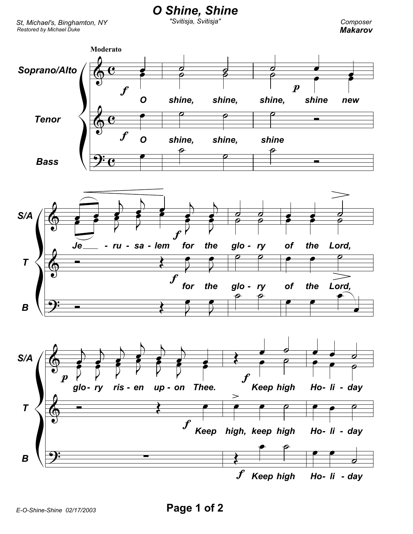*Restored by Michael Duke St, Michael's, Binghamton, NY* *O Shine, Shine*

*"Svitisja, Svitisja"*

*Composer Makarov*



*E-O-Shine-Shine 02/17/2003* **Page 1 of 2**